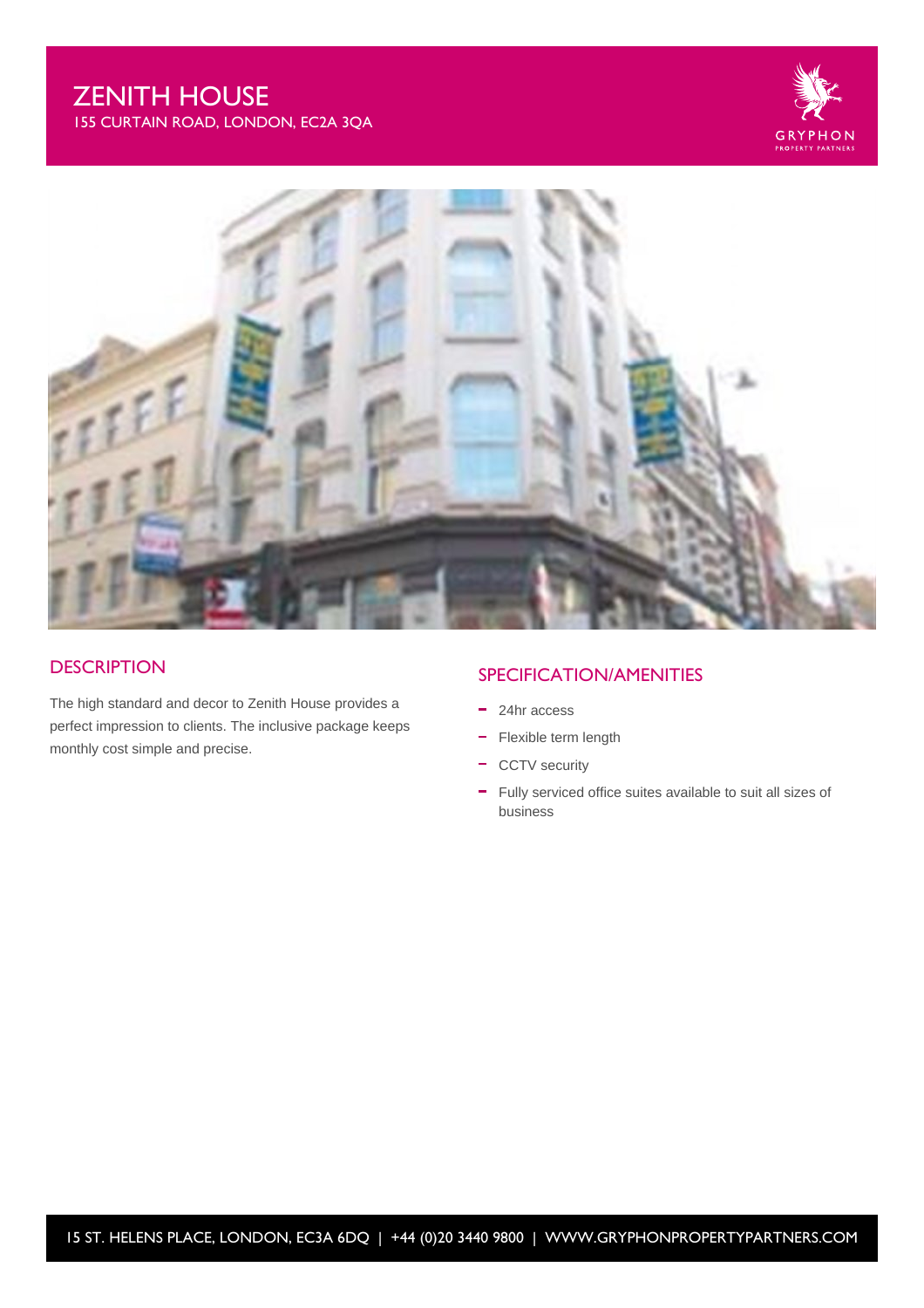# ZENITH HOUSE

155 CURTAIN ROAD, LONDON, EC2A 3QA





#### **DESCRIPTION**

The high standard and decor to Zenith House provides a perfect impression to clients. The inclusive package keeps monthly cost simple and precise.

### SPECIFICATION/AMENITIES

- 24hr access
- Flexible term length
- CCTV security
- Fully serviced office suites available to suit all sizes of business